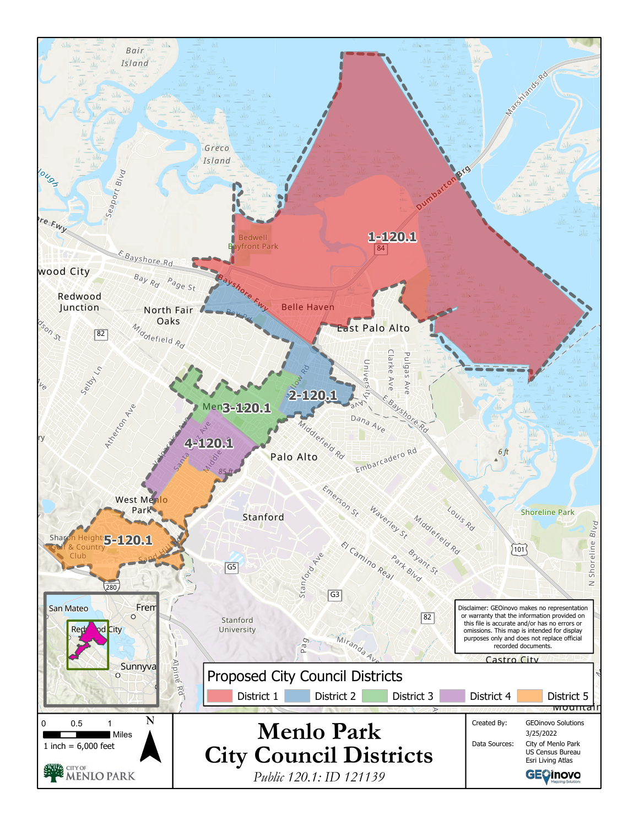